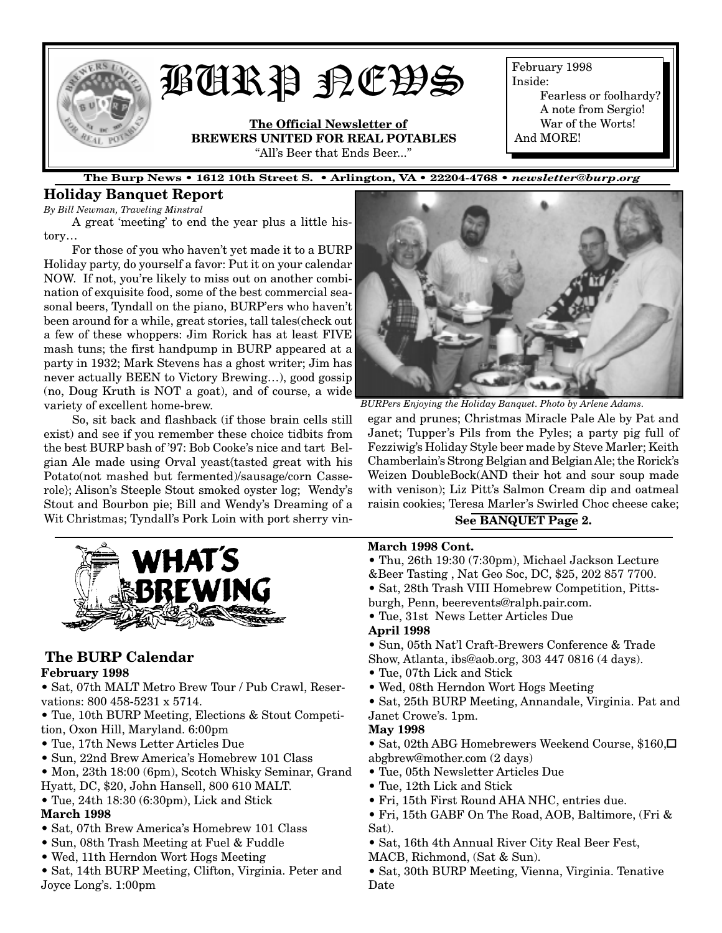

# BURP NEWS

**The Official Newsletter of BREWERS UNITED FOR REAL POTABLES** "All's Beer that Ends Beer..."

February 1998 Inside:

Fearless or foolhardy? A note from Sergio! War of the Worts! And MORE!

**The Burp News • 1612 10th Street S. • Arlington, VA • 22204-4768 •** *newsletter@burp.org*

## **Holiday Banquet Report**

*By Bill Newman, Traveling Minstral*

A great 'meeting' to end the year plus a little history…

For those of you who haven't yet made it to a BURP Holiday party, do yourself a favor: Put it on your calendar NOW. If not, you're likely to miss out on another combination of exquisite food, some of the best commercial seasonal beers, Tyndall on the piano, BURP'ers who haven't been around for a while, great stories, tall tales(check out a few of these whoppers: Jim Rorick has at least FIVE mash tuns; the first handpump in BURP appeared at a party in 1932; Mark Stevens has a ghost writer; Jim has never actually BEEN to Victory Brewing…), good gossip (no, Doug Kruth is NOT a goat), and of course, a wide variety of excellent home-brew.

So, sit back and flashback (if those brain cells still exist) and see if you remember these choice tidbits from the best BURP bash of '97: Bob Cooke's nice and tart Belgian Ale made using Orval yeast{tasted great with his Potato(not mashed but fermented)/sausage/corn Casserole}; Alison's Steeple Stout smoked oyster log; Wendy's Stout and Bourbon pie; Bill and Wendy's Dreaming of a Wit Christmas; Tyndall's Pork Loin with port sherry vin-



## **The BURP Calendar**

## **February 1998**

• Sat, 07th MALT Metro Brew Tour / Pub Crawl, Reservations: 800 458-5231 x 5714.

- Tue, 10th BURP Meeting, Elections & Stout Competition, Oxon Hill, Maryland. 6:00pm
- Tue, 17th News Letter Articles Due
- Sun, 22nd Brew America's Homebrew 101 Class
- Mon, 23th 18:00 (6pm), Scotch Whisky Seminar, Grand Hyatt, DC, \$20, John Hansell, 800 610 MALT.
- Tue, 24th 18:30 (6:30pm), Lick and Stick

## **March 1998**

- Sat, 07th Brew America's Homebrew 101 Class
- Sun, 08th Trash Meeting at Fuel & Fuddle
- Wed, 11th Herndon Wort Hogs Meeting
- Sat, 14th BURP Meeting, Clifton, Virginia. Peter and Joyce Long's. 1:00pm



*BURPers Enjoying the Holiday Banquet. Photo by Arlene Adams.*

egar and prunes; Christmas Miracle Pale Ale by Pat and Janet; Tupper's Pils from the Pyles; a party pig full of Fezziwig's Holiday Style beer made by Steve Marler; Keith Chamberlain's Strong Belgian and Belgian Ale; the Rorick's Weizen DoubleBock(AND their hot and sour soup made with venison); Liz Pitt's Salmon Cream dip and oatmeal raisin cookies; Teresa Marler's Swirled Choc cheese cake;

## **See BANQUET Page 2.**

## **March 1998 Cont.**

- Thu, 26th 19:30 (7:30pm), Michael Jackson Lecture &Beer Tasting , Nat Geo Soc, DC, \$25, 202 857 7700.
- Sat, 28th Trash VIII Homebrew Competition, Pitts-
- burgh, Penn, beerevents@ralph.pair.com.
- Tue, 31st News Letter Articles Due

## **April 1998**

- Sun, 05th Nat'l Craft-Brewers Conference & Trade
- Show, Atlanta, ibs@aob.org, 303 447 0816 (4 days).
- Tue, 07th Lick and Stick
- Wed, 08th Herndon Wort Hogs Meeting
- Sat, 25th BURP Meeting, Annandale, Virginia. Pat and

#### Janet Crowe's. 1pm. **May 1998**

- Sat, 02th ABG Homebrewers Weekend Course, \$160,␣ abgbrew@mother.com (2 days)
- Tue, 05th Newsletter Articles Due
- Tue, 12th Lick and Stick
- Fri, 15th First Round AHA NHC, entries due.
- Fri, 15th GABF On The Road, AOB, Baltimore, (Fri & Sat).
- Sat, 16th 4th Annual River City Real Beer Fest,
- MACB, Richmond, (Sat & Sun).

• Sat, 30th BURP Meeting, Vienna, Virginia. Tenative Date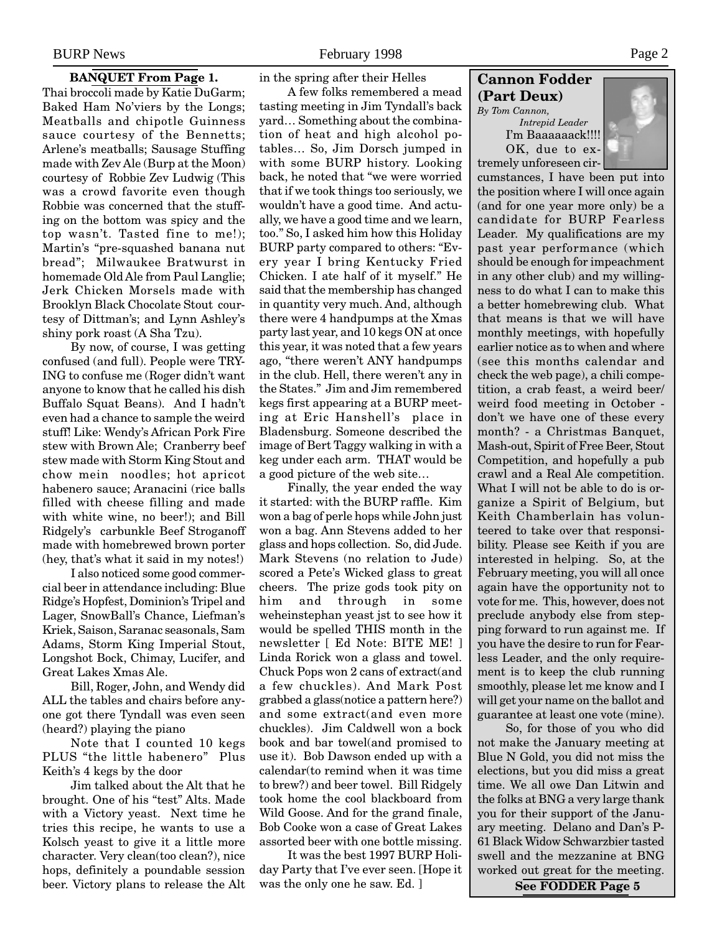## **BANQUET From Page 1.**

Thai broccoli made by Katie DuGarm; Baked Ham No'viers by the Longs; Meatballs and chipotle Guinness sauce courtesy of the Bennetts; Arlene's meatballs; Sausage Stuffing made with Zev Ale (Burp at the Moon) courtesy of Robbie Zev Ludwig (This was a crowd favorite even though Robbie was concerned that the stuffing on the bottom was spicy and the top wasn't. Tasted fine to me!); Martin's "pre-squashed banana nut bread"; Milwaukee Bratwurst in homemade Old Ale from Paul Langlie; Jerk Chicken Morsels made with Brooklyn Black Chocolate Stout courtesy of Dittman's; and Lynn Ashley's shiny pork roast (A Sha Tzu).

By now, of course, I was getting confused (and full). People were TRY-ING to confuse me (Roger didn't want anyone to know that he called his dish Buffalo Squat Beans). And I hadn't even had a chance to sample the weird stuff! Like: Wendy's African Pork Fire stew with Brown Ale; Cranberry beef stew made with Storm King Stout and chow mein noodles; hot apricot habenero sauce; Aranacini (rice balls filled with cheese filling and made with white wine, no beer!); and Bill Ridgely's carbunkle Beef Stroganoff made with homebrewed brown porter (hey, that's what it said in my notes!)

I also noticed some good commercial beer in attendance including: Blue Ridge's Hopfest, Dominion's Tripel and Lager, SnowBall's Chance, Liefman's Kriek, Saison, Saranac seasonals, Sam Adams, Storm King Imperial Stout, Longshot Bock, Chimay, Lucifer, and Great Lakes Xmas Ale.

Bill, Roger, John, and Wendy did ALL the tables and chairs before anyone got there Tyndall was even seen (heard?) playing the piano

Note that I counted 10 kegs PLUS "the little habenero" Plus Keith's 4 kegs by the door

Jim talked about the Alt that he brought. One of his "test" Alts. Made with a Victory yeast. Next time he tries this recipe, he wants to use a Kolsch yeast to give it a little more character. Very clean(too clean?), nice hops, definitely a poundable session beer. Victory plans to release the Alt in the spring after their Helles

A few folks remembered a mead tasting meeting in Jim Tyndall's back yard… Something about the combination of heat and high alcohol potables… So, Jim Dorsch jumped in with some BURP history. Looking back, he noted that "we were worried that if we took things too seriously, we wouldn't have a good time. And actually, we have a good time and we learn, too." So, I asked him how this Holiday BURP party compared to others: "Every year I bring Kentucky Fried Chicken. I ate half of it myself." He said that the membership has changed in quantity very much. And, although there were 4 handpumps at the Xmas party last year, and 10 kegs ON at once this year, it was noted that a few years ago, "there weren't ANY handpumps in the club. Hell, there weren't any in the States." Jim and Jim remembered kegs first appearing at a BURP meeting at Eric Hanshell's place in Bladensburg. Someone described the image of Bert Taggy walking in with a keg under each arm. THAT would be a good picture of the web site…

Finally, the year ended the way it started: with the BURP raffle. Kim won a bag of perle hops while John just won a bag. Ann Stevens added to her glass and hops collection. So, did Jude. Mark Stevens (no relation to Jude) scored a Pete's Wicked glass to great cheers. The prize gods took pity on him and through in some weheinstephan yeast jst to see how it would be spelled THIS month in the newsletter [ Ed Note: BITE ME! ] Linda Rorick won a glass and towel. Chuck Pops won 2 cans of extract(and a few chuckles). And Mark Post grabbed a glass(notice a pattern here?) and some extract(and even more chuckles). Jim Caldwell won a bock book and bar towel(and promised to use it). Bob Dawson ended up with a calendar(to remind when it was time to brew?) and beer towel. Bill Ridgely took home the cool blackboard from Wild Goose. And for the grand finale, Bob Cooke won a case of Great Lakes assorted beer with one bottle missing.

It was the best 1997 BURP Holiday Party that I've ever seen. [Hope it was the only one he saw. Ed. ]

## **Cannon Fodder (Part Deux)**

*By Tom Cannon, Intrepid Leader* I'm Baaaaaack!!!! OK, due to extremely unforeseen cir-



cumstances, I have been put into the position where I will once again (and for one year more only) be a candidate for BURP Fearless Leader. My qualifications are my past year performance (which should be enough for impeachment in any other club) and my willingness to do what I can to make this a better homebrewing club. What that means is that we will have monthly meetings, with hopefully earlier notice as to when and where (see this months calendar and check the web page), a chili competition, a crab feast, a weird beer/ weird food meeting in October don't we have one of these every month? - a Christmas Banquet, Mash-out, Spirit of Free Beer, Stout Competition, and hopefully a pub crawl and a Real Ale competition. What I will not be able to do is organize a Spirit of Belgium, but Keith Chamberlain has volunteered to take over that responsibility. Please see Keith if you are interested in helping. So, at the February meeting, you will all once again have the opportunity not to vote for me. This, however, does not preclude anybody else from stepping forward to run against me. If you have the desire to run for Fearless Leader, and the only requirement is to keep the club running smoothly, please let me know and I will get your name on the ballot and guarantee at least one vote (mine).

So, for those of you who did not make the January meeting at Blue N Gold, you did not miss the elections, but you did miss a great time. We all owe Dan Litwin and the folks at BNG a very large thank you for their support of the January meeting. Delano and Dan's P-61 Black Widow Schwarzbier tasted swell and the mezzanine at BNG worked out great for the meeting.

**See FODDER Page 5**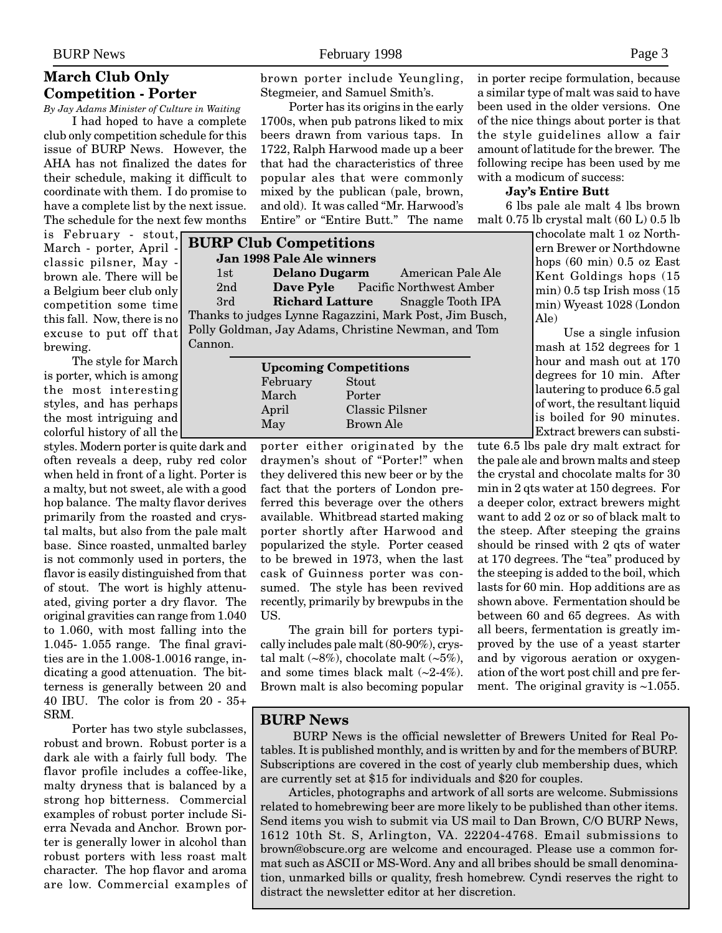## **March Club Only Competition - Porter**

*By Jay Adams Minister of Culture in Waiting* I had hoped to have a complete club only competition schedule for this issue of BURP News. However, the AHA has not finalized the dates for their schedule, making it difficult to coordinate with them. I do promise to have a complete list by the next issue. The schedule for the next few months

is February - stout, March - porter, April classic pilsner, May brown ale. There will be a Belgium beer club only competition some time this fall. Now, there is no excuse to put off that brewing.

The style for March is porter, which is among the most interesting styles, and has perhaps the most intriguing and colorful history of all the

styles. Modern porter is quite dark and often reveals a deep, ruby red color when held in front of a light. Porter is a malty, but not sweet, ale with a good hop balance. The malty flavor derives primarily from the roasted and crystal malts, but also from the pale malt base. Since roasted, unmalted barley is not commonly used in porters, the flavor is easily distinguished from that of stout. The wort is highly attenuated, giving porter a dry flavor. The original gravities can range from 1.040 to 1.060, with most falling into the 1.045- 1.055 range. The final gravities are in the 1.008-1.0016 range, indicating a good attenuation. The bitterness is generally between 20 and 40 IBU. The color is from 20 - 35+ SRM.

Porter has two style subclasses, robust and brown. Robust porter is a dark ale with a fairly full body. The flavor profile includes a coffee-like, malty dryness that is balanced by a strong hop bitterness. Commercial examples of robust porter include Sierra Nevada and Anchor. Brown porter is generally lower in alcohol than robust porters with less roast malt character. The hop flavor and aroma are low. Commercial examples of brown porter include Yeungling, Stegmeier, and Samuel Smith's.

Porter has its origins in the early 1700s, when pub patrons liked to mix beers drawn from various taps. In 1722, Ralph Harwood made up a beer that had the characteristics of three popular ales that were commonly mixed by the publican (pale, brown, and old). It was called "Mr. Harwood's Entire" or "Entire Butt." The name

| <b>BURP Club Competitions</b>                           |                      |  |                                          |  |  |
|---------------------------------------------------------|----------------------|--|------------------------------------------|--|--|
| Jan 1998 Pale Ale winners                               |                      |  |                                          |  |  |
| 1st                                                     | <b>Delano Dugarm</b> |  | American Pale Ale                        |  |  |
| 2 <sub>nd</sub>                                         |                      |  | Dave Pyle Pacific Northwest Amber        |  |  |
| 3rd                                                     |                      |  | <b>Richard Latture</b> Snaggle Tooth IPA |  |  |
| Thanks to judges Lynne Ragazzini, Mark Post, Jim Busch, |                      |  |                                          |  |  |
| Polly Goldman, Jay Adams, Christine Newman, and Tom     |                      |  |                                          |  |  |
| Cannon.                                                 |                      |  |                                          |  |  |
|                                                         |                      |  |                                          |  |  |

| <b>Upcoming Competitions</b> |                  |  |  |  |
|------------------------------|------------------|--|--|--|
| February                     | Stout            |  |  |  |
| March                        | Porter           |  |  |  |
| April                        | Classic Pilsner  |  |  |  |
| May                          | <b>Brown Ale</b> |  |  |  |
|                              |                  |  |  |  |

porter either originated by the draymen's shout of "Porter!" when they delivered this new beer or by the fact that the porters of London preferred this beverage over the others available. Whitbread started making porter shortly after Harwood and popularized the style. Porter ceased to be brewed in 1973, when the last cask of Guinness porter was consumed. The style has been revived recently, primarily by brewpubs in the US.

The grain bill for porters typically includes pale malt (80-90%), crystal malt  $(-8\%)$ , chocolate malt  $(-5\%)$ , and some times black malt  $(-2-4\%)$ . Brown malt is also becoming popular in porter recipe formulation, because a similar type of malt was said to have been used in the older versions. One of the nice things about porter is that the style guidelines allow a fair amount of latitude for the brewer. The following recipe has been used by me with a modicum of success:

#### **Jay's Entire Butt**

6 lbs pale ale malt 4 lbs brown malt 0.75 lb crystal malt (60 L) 0.5 lb

chocolate malt 1 oz Northern Brewer or Northdowne hops (60 min) 0.5 oz East Kent Goldings hops (15 min) 0.5 tsp Irish moss (15 min) Wyeast 1028 (London Ale)

Use a single infusion mash at 152 degrees for 1 hour and mash out at 170 degrees for 10 min. After lautering to produce 6.5 gal of wort, the resultant liquid is boiled for 90 minutes. Extract brewers can substi-

tute 6.5 lbs pale dry malt extract for the pale ale and brown malts and steep the crystal and chocolate malts for 30 min in 2 qts water at 150 degrees. For a deeper color, extract brewers might want to add 2 oz or so of black malt to the steep. After steeping the grains should be rinsed with 2 qts of water at 170 degrees. The "tea" produced by the steeping is added to the boil, which lasts for 60 min. Hop additions are as shown above. Fermentation should be between 60 and 65 degrees. As with all beers, fermentation is greatly improved by the use of a yeast starter and by vigorous aeration or oxygenation of the wort post chill and pre ferment. The original gravity is  $\sim$ 1.055.

## **BURP News**

 BURP News is the official newsletter of Brewers United for Real Potables. It is published monthly, and is written by and for the members of BURP. Subscriptions are covered in the cost of yearly club membership dues, which are currently set at \$15 for individuals and \$20 for couples.

Articles, photographs and artwork of all sorts are welcome. Submissions related to homebrewing beer are more likely to be published than other items. Send items you wish to submit via US mail to Dan Brown, C/O BURP News, 1612 10th St. S, Arlington, VA. 22204-4768. Email submissions to brown@obscure.org are welcome and encouraged. Please use a common format such as ASCII or MS-Word. Any and all bribes should be small denomination, unmarked bills or quality, fresh homebrew. Cyndi reserves the right to distract the newsletter editor at her discretion.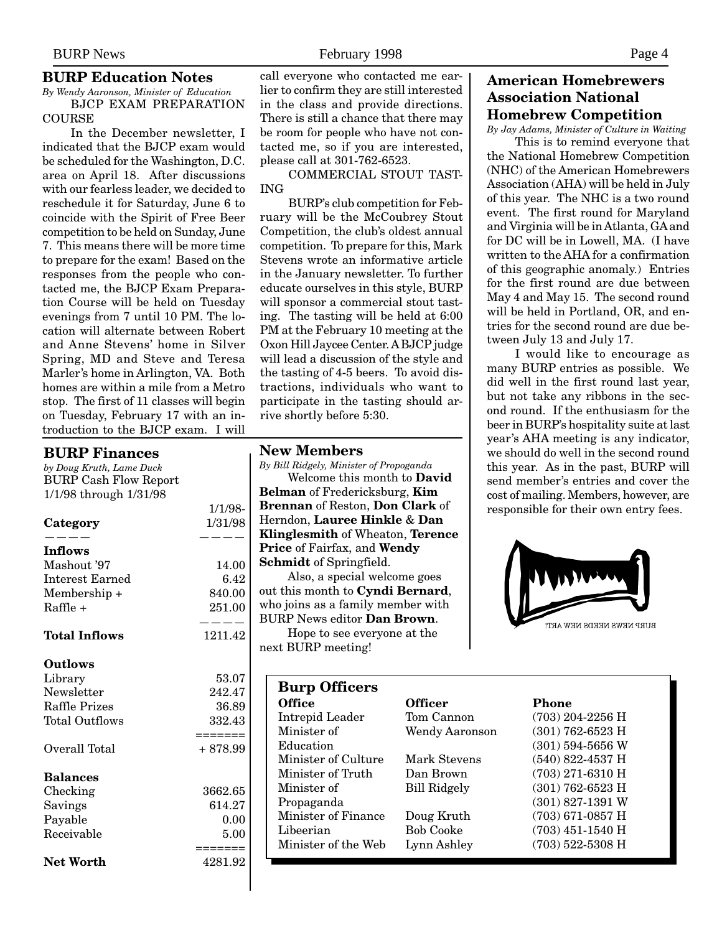#### **BURP Education Notes**

*By Wendy Aaronson, Minister of Education* BJCP EXAM PREPARATION **COURSE** 

In the December newsletter, I indicated that the BJCP exam would be scheduled for the Washington, D.C. area on April 18. After discussions with our fearless leader, we decided to reschedule it for Saturday, June 6 to coincide with the Spirit of Free Beer competition to be held on Sunday, June 7. This means there will be more time to prepare for the exam! Based on the responses from the people who contacted me, the BJCP Exam Preparation Course will be held on Tuesday evenings from 7 until 10 PM. The location will alternate between Robert and Anne Stevens' home in Silver Spring, MD and Steve and Teresa Marler's home in Arlington, VA. Both homes are within a mile from a Metro stop. The first of 11 classes will begin on Tuesday, February 17 with an introduction to the BJCP exam. I will

#### **BURP Finances**

*by Doug Kruth, Lame Duck* BURP Cash Flow Report 1/1/98 through 1/31/98

|                        | 1/1/90-  |
|------------------------|----------|
| Category               | 1/31/98  |
| <b>Inflows</b>         |          |
| Mashout '97            | 14.00    |
| <b>Interest Earned</b> | 6.42     |
| Membership +           | 840.00   |
| Raffle +               | 251.00   |
|                        |          |
| <b>Total Inflows</b>   | 1211.42  |
| <b>Outlows</b>         |          |
| Library                | 53.07    |
| Newsletter             | 242.47   |
| Raffle Prizes          | 36.89    |
| Total Outflows         | 332.43   |
|                        | =======  |
| Overall Total          | + 878.99 |
| <b>Balances</b>        |          |
| Checking               | 3662.65  |
| Savings                | 614.27   |
| Payable                | 0.00     |
| Receivable             | 5.00     |
|                        | =======  |
| <b>Net Worth</b>       | 4281.92  |

call everyone who contacted me earlier to confirm they are still interested in the class and provide directions. There is still a chance that there may be room for people who have not contacted me, so if you are interested, please call at 301-762-6523.

COMMERCIAL STOUT TAST-ING

BURP's club competition for February will be the McCoubrey Stout Competition, the club's oldest annual competition. To prepare for this, Mark Stevens wrote an informative article in the January newsletter. To further educate ourselves in this style, BURP will sponsor a commercial stout tasting. The tasting will be held at 6:00 PM at the February 10 meeting at the Oxon Hill Jaycee Center. A BJCP judge will lead a discussion of the style and the tasting of 4-5 beers. To avoid distractions, individuals who want to participate in the tasting should arrive shortly before 5:30.

#### **New Members**

 $1/1/90$ 

*By Bill Ridgely, Minister of Propoganda* Welcome this month to **David Belman** of Fredericksburg, **Kim Brennan** of Reston, **Don Clark** of Herndon, **Lauree Hinkle** & **Dan Klinglesmith** of Wheaton, **Terence Price** of Fairfax, and **Wendy Schmidt** of Springfield.

Also, a special welcome goes out this month to **Cyndi Bernard**, who joins as a family member with BURP News editor **Dan Brown**.

Hope to see everyone at the next BURP meeting!

## **American Homebrewers Association National Homebrew Competition**

*By Jay Adams, Minister of Culture in Waiting*

This is to remind everyone that the National Homebrew Competition (NHC) of the American Homebrewers Association (AHA) will be held in July of this year. The NHC is a two round event. The first round for Maryland and Virginia will be in Atlanta, GA and for DC will be in Lowell, MA. (I have written to the AHA for a confirmation of this geographic anomaly.) Entries for the first round are due between May 4 and May 15. The second round will be held in Portland, OR, and entries for the second round are due between July 13 and July 17.

I would like to encourage as many BURP entries as possible. We did well in the first round last year, but not take any ribbons in the second round. If the enthusiasm for the beer in BURP's hospitality suite at last year's AHA meeting is any indicator, we should do well in the second round this year. As in the past, BURP will send member's entries and cover the cost of mailing. Members, however, are responsible for their own entry fees.



| <b>Burp Officers</b> |                       |                    |
|----------------------|-----------------------|--------------------|
| <b>Office</b>        | Officer               | Phone              |
| Intrepid Leader      | Tom Cannon            | $(703)$ 204-2256 H |
| Minister of          | <b>Wendy Aaronson</b> | $(301)$ 762-6523 H |
| Education            |                       | $(301)$ 594-5656 W |
| Minister of Culture  | Mark Stevens          | $(540)$ 822-4537 H |
| Minister of Truth    | Dan Brown             | $(703)$ 271-6310 H |
| Minister of          | Bill Ridgely          | $(301)$ 762-6523 H |
| Propaganda           |                       | $(301)$ 827-1391 W |
| Minister of Finance  | Doug Kruth            | $(703)$ 671-0857 H |
| Libeerian            | <b>Bob Cooke</b>      | $(703)$ 451-1540 H |
| Minister of the Web  | Lynn Ashley           | $(703)$ 522-5308 H |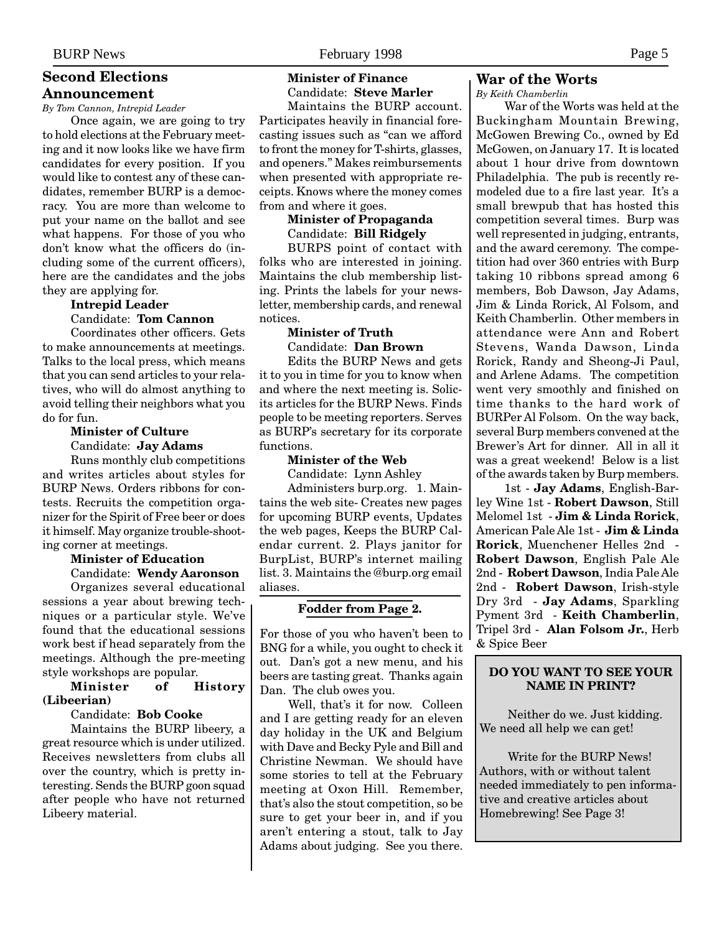## **Second Elections**

#### **Announcement**

*By Tom Cannon, Intrepid Leader*

Once again, we are going to try to hold elections at the February meeting and it now looks like we have firm candidates for every position. If you would like to contest any of these candidates, remember BURP is a democracy. You are more than welcome to put your name on the ballot and see what happens. For those of you who don't know what the officers do (including some of the current officers), here are the candidates and the jobs they are applying for.

## **Intrepid Leader**

Candidate: **Tom Cannon**

Coordinates other officers. Gets to make announcements at meetings. Talks to the local press, which means that you can send articles to your relatives, who will do almost anything to avoid telling their neighbors what you do for fun.

## **Minister of Culture**

Candidate: **Jay Adams** Runs monthly club competitions and writes articles about styles for BURP News. Orders ribbons for contests. Recruits the competition organizer for the Spirit of Free beer or does it himself. May organize trouble-shooting corner at meetings.

#### **Minister of Education** Candidate: **Wendy Aaronson**

Organizes several educational sessions a year about brewing techniques or a particular style. We've found that the educational sessions work best if head separately from the meetings. Although the pre-meeting style workshops are popular.

**Minister of History (Libeerian)**

#### Candidate: **Bob Cooke**

Maintains the BURP libeery, a great resource which is under utilized. Receives newsletters from clubs all over the country, which is pretty interesting. Sends the BURP goon squad after people who have not returned Libeery material.

**Minister of Finance** Candidate: **Steve Marler**

Maintains the BURP account. Participates heavily in financial forecasting issues such as "can we afford to front the money for T-shirts, glasses, and openers." Makes reimbursements when presented with appropriate receipts. Knows where the money comes from and where it goes.

#### **Minister of Propaganda** Candidate: **Bill Ridgely**

BURPS point of contact with folks who are interested in joining. Maintains the club membership listing. Prints the labels for your newsletter, membership cards, and renewal notices.

## **Minister of Truth** Candidate: **Dan Brown**

Edits the BURP News and gets it to you in time for you to know when and where the next meeting is. Solicits articles for the BURP News. Finds people to be meeting reporters. Serves as BURP's secretary for its corporate functions.

#### **Minister of the Web**

Candidate: Lynn Ashley

Administers burp.org. 1. Maintains the web site- Creates new pages for upcoming BURP events, Updates the web pages, Keeps the BURP Calendar current. 2. Plays janitor for BurpList, BURP's internet mailing list. 3. Maintains the @burp.org email aliases.

## **Fodder from Page 2.**

For those of you who haven't been to BNG for a while, you ought to check it out. Dan's got a new menu, and his beers are tasting great. Thanks again Dan. The club owes you.

Well, that's it for now. Colleen and I are getting ready for an eleven day holiday in the UK and Belgium with Dave and Becky Pyle and Bill and Christine Newman. We should have some stories to tell at the February meeting at Oxon Hill. Remember, that's also the stout competition, so be sure to get your beer in, and if you aren't entering a stout, talk to Jay Adams about judging. See you there.

## **War of the Worts**

*By Keith Chamberlin*

War of the Worts was held at the Buckingham Mountain Brewing, McGowen Brewing Co., owned by Ed McGowen, on January 17. It is located about 1 hour drive from downtown Philadelphia. The pub is recently remodeled due to a fire last year. It's a small brewpub that has hosted this competition several times. Burp was well represented in judging, entrants, and the award ceremony. The competition had over 360 entries with Burp taking 10 ribbons spread among 6 members, Bob Dawson, Jay Adams, Jim & Linda Rorick, Al Folsom, and Keith Chamberlin. Other members in attendance were Ann and Robert Stevens, Wanda Dawson, Linda Rorick, Randy and Sheong-Ji Paul, and Arlene Adams. The competition went very smoothly and finished on time thanks to the hard work of BURPer Al Folsom. On the way back, several Burp members convened at the Brewer's Art for dinner. All in all it was a great weekend! Below is a list of the awards taken by Burp members.

1st - **Jay Adams**, English-Barley Wine 1st - **Robert Dawson**, Still Melomel 1st - **Jim & Linda Rorick**, American Pale Ale 1st - **Jim & Linda Rorick**, Muenchener Helles 2nd **Robert Dawson**, English Pale Ale 2nd - **Robert Dawson**, India Pale Ale 2nd - **Robert Dawson**, Irish-style Dry 3rd - **Jay Adams**, Sparkling Pyment 3rd - **Keith Chamberlin**, Tripel 3rd - **Alan Folsom Jr.**, Herb & Spice Beer

#### **DO YOU WANT TO SEE YOUR NAME IN PRINT?**

Neither do we. Just kidding. We need all help we can get!

Write for the BURP News! Authors, with or without talent needed immediately to pen informative and creative articles about Homebrewing! See Page 3!